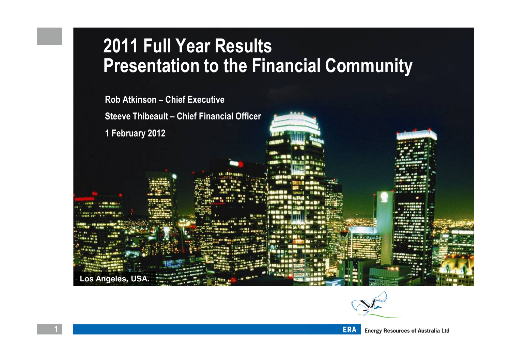### 2011 Full Year ResultsPresentation to the Financial Community

Rob Atkinson – Chief Executive

Steeve Thibeault – Chief Financial Officer

1 February 2012

**Los Angeles, USA.**

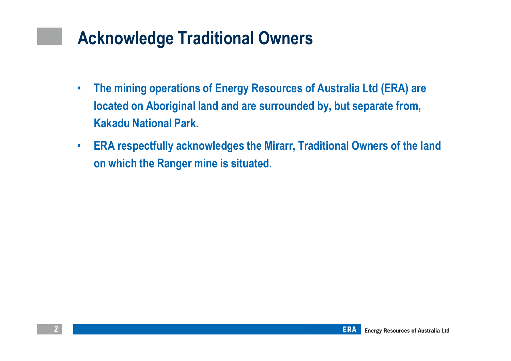### Acknowledge Traditional Owners

- $\bullet$  The mining operations of Energy Resources of Australia Ltd (ERA) are located on Aboriginal land and are surrounded by, but separate from, Kakadu National Park.
- $\bullet$  ERA respectfully acknowledges the Mirarr, Traditional Owners of the land on which the Ranger mine is situated.

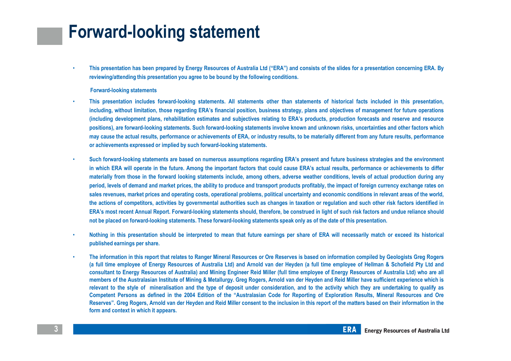### Forward-looking statement

• This presentation has been prepared by Energy Resources of Australia Ltd ("ERA") and consists of the slides for <sup>a</sup> presentation concerning ERA. Byreviewing/attending this presentation you agree to be bound by the following conditions.

### Forward-looking statements

- • This presentation includes forward-looking statements. All statements other than statements of historical facts included in this presentation, including, without limitation, those regarding ERA's financial position, business strategy, plans and objectives of management for future operations (including development plans, rehabilitation estimates and subjectives relating to ERA's products, production forecasts and reserve and resourcepositions), are forward-looking statements. Such forward-looking statements involve known and unknown risks, uncertainties and other factors whichmay cause the actual results, performance or achievements of ERA, or industry results, to be materially different from any future results, performanceor achievements expressed or implied by such forward-looking statements.
- • Such forward-looking statements are based on numerous assumptions regarding ERA's present and future business strategies and the environment in which ERA will operate in the future. Among the important factors that could cause ERA's actual results, performance or achievements to differmaterially from those in the forward looking statements include, among others, adverse weather conditions, levels of actual production during any period, levels of demand and market prices, the ability to produce and transport products profitably, the impact of foreign currency exchange rates onsales revenues, market prices and operating costs, operational problems, political uncertainty and economic conditions in relevant areas of the world, the actions of competitors, activities by governmental authorities such as changes in taxation or regulation and such other risk factors identified inERA's most recent Annual Report. Forward-looking statements should, therefore, be construed in light of such risk factors and undue reliance shouldnot be placed on forward-looking statements. These forward-looking statements speak only as of the date of this presentation.
- • Nothing in this presentation should be interpreted to mean that future earnings per share of ERA will necessarily match or exceed its historical published earnings per share.
- • The information in this report that relates to Ranger Mineral Resources or Ore Reserves is based on information compiled by Geologists Greg Rogers (a full time employee of Energy Resources of Australia Ltd) and Arnold van der Heyden (a full time employee of Hellman & Schofield Pty Ltd and consultant to Energy Resources of Australia) and Mining Engineer Reid Miller (full time employee of Energy Resources of Australia Ltd) who are all members of the Australasian Institute of Mining & Metallurgy. Greg Rogers, Arnold van der Heyden and Reid Miller have sufficient experience which is relevant to the style of mineralisation and the type of deposit under consideration, and to the activity which they are undertaking to qualify as Competent Persons as defined in the 2004 Edition of the "Australasian Code for Reporting of Exploration Results, Mineral Resources and Ore Reserves". Greg Rogers, Arnold van der Heyden and Reid Miller consent to the inclusion in this report of the matters based on their information in the form and context in which it appears.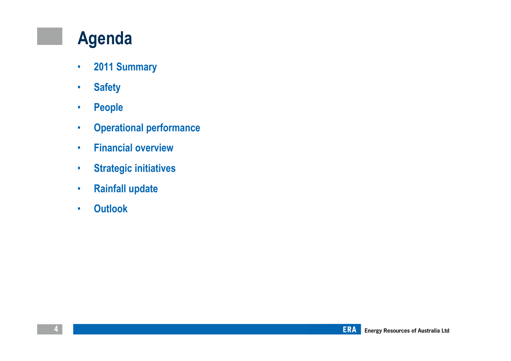### Agenda

- •2011 Summary
- •**Safety**
- •People
- •Operational performance
- •Financial overview
- •Strategic initiatives
- •Rainfall update
- •**Outlook**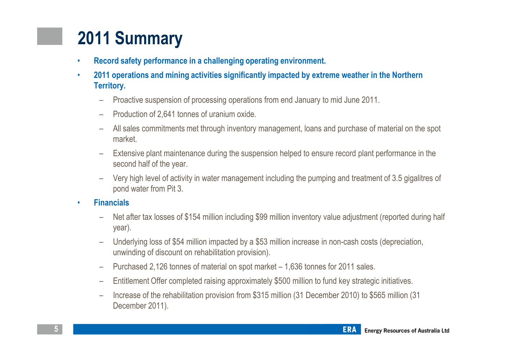# 2011 Summary

- •Record safety performance in a challenging operating environment.
- • 2011 operations and mining activities significantly impacted by extreme weather in the Northern Territory.
	- Proactive suspension of processing operations from end January to mid June 2011.
	- –Production of 2,641 tonnes of uranium oxide.
	- – All sales commitments met through inventory management, loans and purchase of material on the spot market.
	- Extensive plant maintenance during the suspension helped to ensure record plant performance in the second half of the year.
	- –Very high level of activity in water management including the pumping and treatment of 3.5 gigalitres of
- 
- ond water from Pit 3.<br>
Financials<br>
 Net after tax losses of \$154 million including \$99 million inventory value adjustment (reported during half<br>
year).<br>
 Underlying loss of \$54 million impacted by a \$53 million increas
	-
	-
	-
	-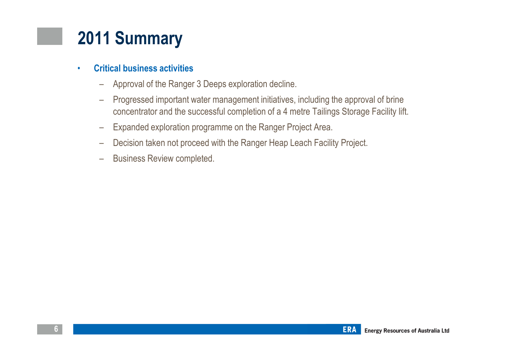## 2011 Summary

#### •Critical business activities

- –Approval of the Ranger 3 Deeps exploration decline.
- – Progressed important water management initiatives, including the approval of brine concentrator and the successful completion of a 4 metre Tailings Storage Facility lift.
- –Expanded exploration programme on the Ranger Project Area.
- –Decision taken not proceed with the Ranger Heap Leach Facility Project.
- –Business Review completed.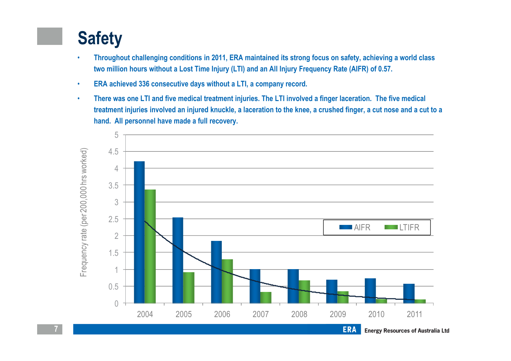# **Safety**

- • Throughout challenging conditions in 2011, ERA maintained its strong focus on safety, achieving a world class two million hours without a Lost Time Injury (LTI) and an All Injury Frequency Rate (AIFR) of 0.57.
- •ERA achieved 336 consecutive days without a LTI, a company record.
- • There was one LTI and five medical treatment injuries. The LTI involved a finger laceration. The five medical treatment injuries involved an injured knuckle, a laceration to the knee, a crushed finger, a cut nose and a cut to a hand. All personnel have made a full recovery.

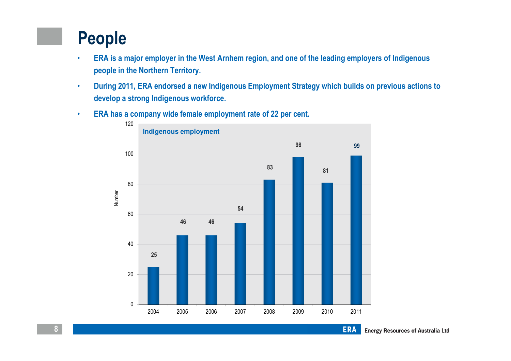## People

- • ERA is a major employer in the West Arnhem region, and one of the leading employers of Indigenous people in the Northern Territory.
- • During 2011, ERA endorsed a new Indigenous Employment Strategy which builds on previous actions to develop a strong Indigenous workforce.
- •ERA has a company wide female employment rate of 22 per cent.

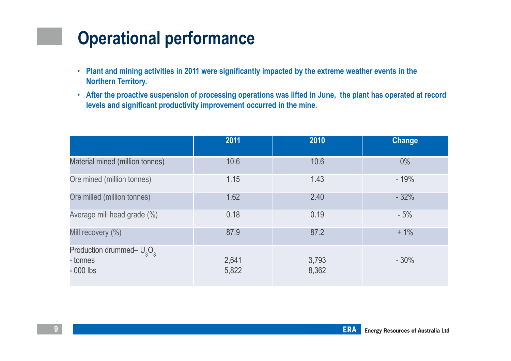## Operational performance

- Plant and mining activities in 2011 were significantly impacted by the extreme weather events in the Northern Territory.
- After the proactive suspension of processing operations was lifted in June, the plant has operated at record levels and significant productivity improvement occurred in the mine.

|                                                        | 2011           | 2010           | <b>Change</b> |
|--------------------------------------------------------|----------------|----------------|---------------|
| Material mined (million tonnes)                        | 10.6           | 10.6           | $0\%$         |
| Ore mined (million tonnes)                             | 1.15           | 1.43           | $-19%$        |
| Ore milled (million tonnes)                            | 1.62           | 2.40           | $-32%$        |
| Average mill head grade (%)                            | 0.18           | 0.19           | $-5%$         |
| Mill recovery (%)                                      | 87.9           | 87.2           | $+1\%$        |
| Production drummed- $U_3O_8$<br>- tonnes<br>$-000$ lbs | 2,641<br>5,822 | 3,793<br>8,362 | $-30%$        |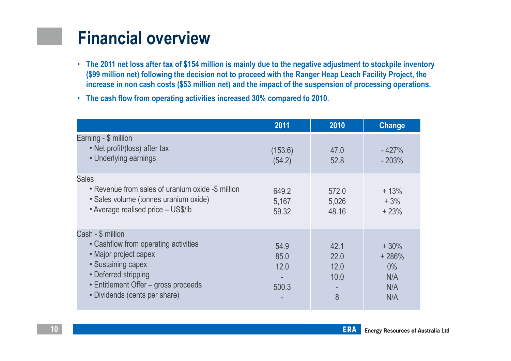### Financial overview

- The 2011 net loss after tax of \$154 million is mainly due to the negative adjustment to stockpile inventory (\$99 million net) following the decision not to proceed with the Ranger Heap Leach Facility Project, the increase in non cash costs (\$53 million net) and the impact of the suspension of processing operations.
- The cash flow from operating activities increased 30% compared to 2010.

|                                                                                                                                                                                                           | 2011                          | 2010                              | Change                                          |
|-----------------------------------------------------------------------------------------------------------------------------------------------------------------------------------------------------------|-------------------------------|-----------------------------------|-------------------------------------------------|
| Earning - \$ million<br>• Net profit/(loss) after tax<br>• Underlying earnings                                                                                                                            | (153.6)<br>(54.2)             | 47.0<br>52.8                      | $-427%$<br>$-203%$                              |
| <b>Sales</b><br>• Revenue from sales of uranium oxide -\$ million<br>· Sales volume (tonnes uranium oxide)<br>• Average realised price - US\$/lb                                                          | 649.2<br>5,167<br>59.32       | 572.0<br>5,026<br>48.16           | $+13%$<br>$+3%$<br>$+23%$                       |
| Cash - \$ million<br>• Cashflow from operating activities<br>• Major project capex<br>· Sustaining capex<br>• Deferred stripping<br>• Entitlement Offer - gross proceeds<br>• Dividends (cents per share) | 54.9<br>85.0<br>12.0<br>500.3 | 42.1<br>22.0<br>12.0<br>10.0<br>8 | $+30%$<br>$+286%$<br>$0\%$<br>N/A<br>N/A<br>N/A |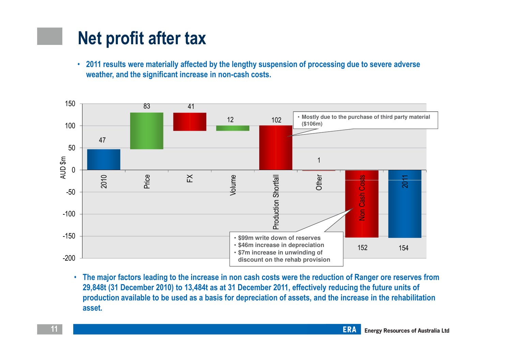### Net profit after tax

• 2011 results were materially affected by the lengthy suspension of processing due to severe adverse weather, and the significant increase in non-cash costs.



• The major factors leading to the increase in non cash costs were the reduction of Ranger ore reserves from 29,848t (31 December 2010) to 13,484t as at 31 December 2011, effectively reducing the future units of production available to be used as a basis for depreciation of assets, and the increase in the rehabilitation asset.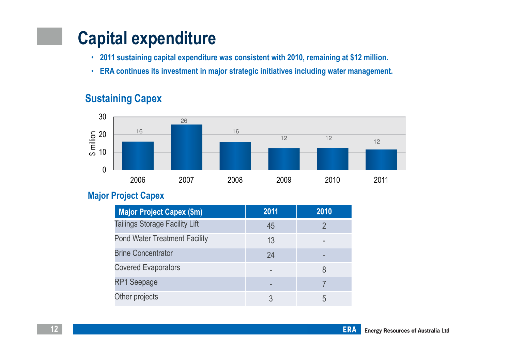## Capital expenditure

- 2011 sustaining capital expenditure was consistent with 2010, remaining at \$12 million.
- ERA continues its investment in major strategic initiatives including water management.

### Sustaining Capex



### Major Project Capex

| <b>Major Project Capex (\$m)</b>      | 2011 | 2010 |
|---------------------------------------|------|------|
| <b>Tailings Storage Facility Lift</b> | 45   |      |
| <b>Pond Water Treatment Facility</b>  | 13   |      |
| <b>Brine Concentrator</b>             | 24   |      |
| <b>Covered Evaporators</b>            |      |      |
| <b>RP1 Seepage</b>                    |      |      |
| Other projects                        |      | h    |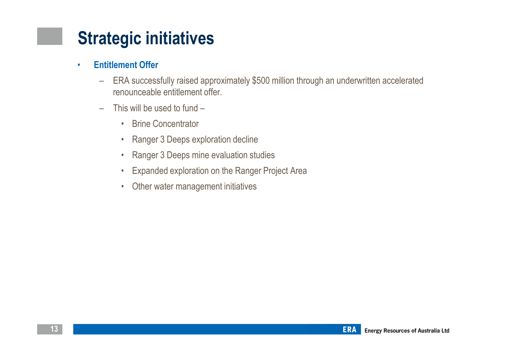### •Entitlement Offer

- – ERA successfully raised approximately \$500 million through an underwritten accelerated renounceable entitlement offer.
- – This will be used to fund –
	- Brine Concentrator
	- Ranger 3 Deeps exploration decline
	- $\bullet$ Ranger 3 Deeps mine evaluation studies
	- •Expanded exploration on the Ranger Project Area
	- Other water management initiatives

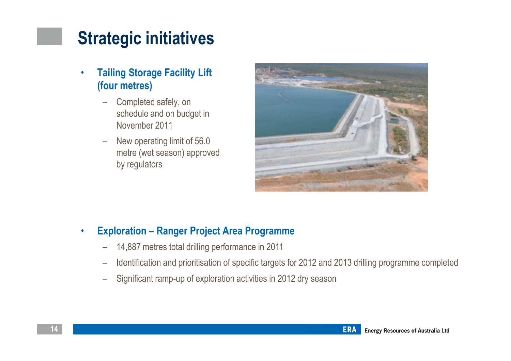- • Tailing Storage Facility Lift (four metres)
	- Completed safely, on schedule and on budget in November 2011
	- New operating limit of 56.0 metre (wet season) approved by regulators



### •Exploration – Ranger Project Area Programme

- 14,887 metres total drilling performance in 2011
- –Identification and prioritisation of specific targets for 2012 and 2013 drilling programme completed
- Significant ramp-up of exploration activities in 2012 dry season

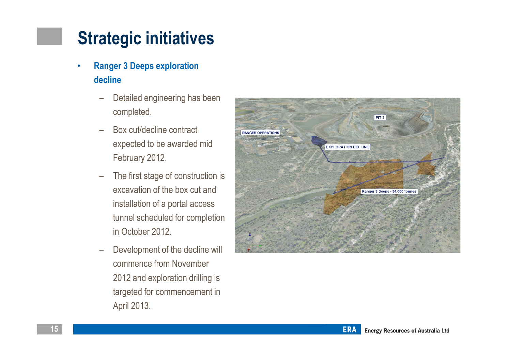- • Ranger 3 Deeps exploration decline
	- – Detailed engineering has been completed.
	- $\overline{\phantom{0}}$  Box cut/decline contract expected to be awarded mid February 2012.
	- – The first stage of construction is excavation of the box cut and installation of a portal access tunnel scheduled for completion in October 2012.
	- – Development of the decline will commence from November 2012 and exploration drilling is targeted for commencement in April 2013.

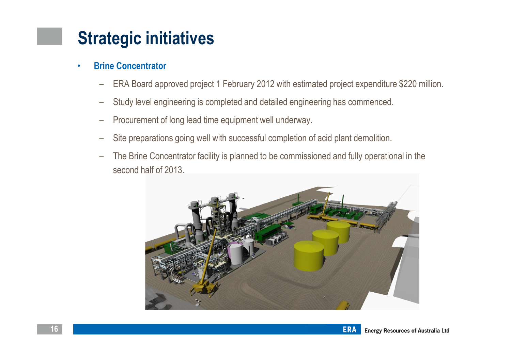- • Brine Concentrator
	- –ERA Board approved project 1 February 2012 with estimated project expenditure \$220 million.
	- –Study level engineering is completed and detailed engineering has commenced.
	- –Procurement of long lead time equipment well underway.
	- –Site preparations going well with successful completion of acid plant demolition.
	- – The Brine Concentrator facility is planned to be commissioned and fully operational in the second half of 2013.



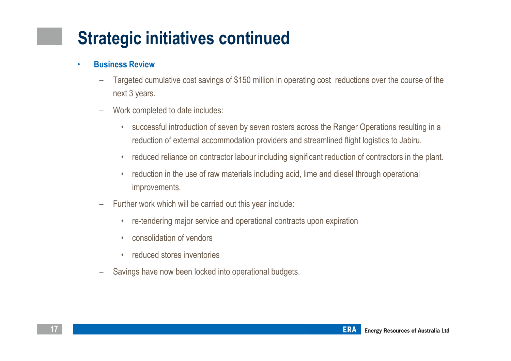# Strategic initiatives continued

#### •Business Review

- – Targeted cumulative cost savings of \$150 million in operating cost reductions over the course of thenext 3 years.
- – Work completed to date includes:
	- $\bullet$  successful introduction of seven by seven rosters across the Ranger Operations resulting in a reduction of external accommodation providers and streamlined flight logistics to Jabiru.
	- •reduced reliance on contractor labour including significant reduction of contractors in the plant.
	- $\bullet$  reduction in the use of raw materials including acid, lime and diesel through operational improvements.
- – Further work which will be carried out this year include:
	- •re-tendering major service and operational contracts upon expiration
	- •consolidation of vendors
	- reduced stores inventories
- –Savings have now been locked into operational budgets.

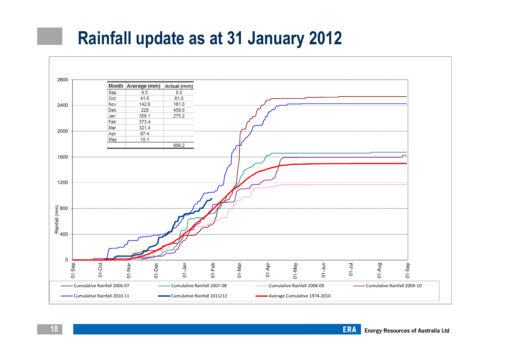### Rainfall update as at 31 January 2012